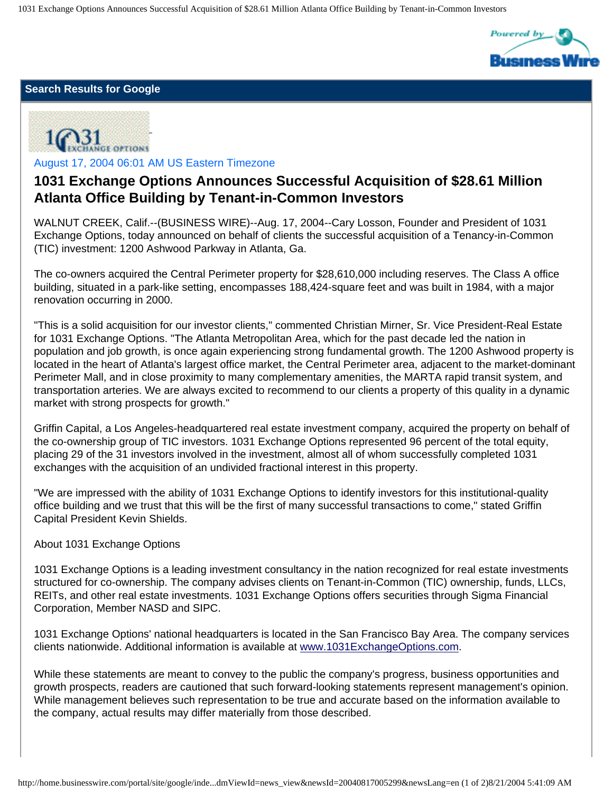1031 Exchange Options Announces Successful Acquisition of \$28.61 Million Atlanta Office Building by Tenant-in-Common Investors



## **Search Results for Google**



August 17, 2004 06:01 AM US Eastern Timezone

## **1031 Exchange Options Announces Successful Acquisition of \$28.61 Million Atlanta Office Building by Tenant-in-Common Investors**

WALNUT CREEK, Calif.--(BUSINESS WIRE)--Aug. 17, 2004--Cary Losson, Founder and President of 1031 Exchange Options, today announced on behalf of clients the successful acquisition of a Tenancy-in-Common (TIC) investment: 1200 Ashwood Parkway in Atlanta, Ga.

The co-owners acquired the Central Perimeter property for \$28,610,000 including reserves. The Class A office building, situated in a park-like setting, encompasses 188,424-square feet and was built in 1984, with a major renovation occurring in 2000.

"This is a solid acquisition for our investor clients," commented Christian Mirner, Sr. Vice President-Real Estate for 1031 Exchange Options. "The Atlanta Metropolitan Area, which for the past decade led the nation in population and job growth, is once again experiencing strong fundamental growth. The 1200 Ashwood property is located in the heart of Atlanta's largest office market, the Central Perimeter area, adjacent to the market-dominant Perimeter Mall, and in close proximity to many complementary amenities, the MARTA rapid transit system, and transportation arteries. We are always excited to recommend to our clients a property of this quality in a dynamic market with strong prospects for growth."

Griffin Capital, a Los Angeles-headquartered real estate investment company, acquired the property on behalf of the co-ownership group of TIC investors. 1031 Exchange Options represented 96 percent of the total equity, placing 29 of the 31 investors involved in the investment, almost all of whom successfully completed 1031 exchanges with the acquisition of an undivided fractional interest in this property.

"We are impressed with the ability of 1031 Exchange Options to identify investors for this institutional-quality office building and we trust that this will be the first of many successful transactions to come," stated Griffin Capital President Kevin Shields.

## About 1031 Exchange Options

1031 Exchange Options is a leading investment consultancy in the nation recognized for real estate investments structured for co-ownership. The company advises clients on Tenant-in-Common (TIC) ownership, funds, LLCs, REITs, and other real estate investments. 1031 Exchange Options offers securities through Sigma Financial Corporation, Member NASD and SIPC.

1031 Exchange Options' national headquarters is located in the San Francisco Bay Area. The company services clients nationwide. Additional information is available at [www.1031ExchangeOptions.com](http://www.1031exchangeoptions.com/).

While these statements are meant to convey to the public the company's progress, business opportunities and growth prospects, readers are cautioned that such forward-looking statements represent management's opinion. While management believes such representation to be true and accurate based on the information available to the company, actual results may differ materially from those described.